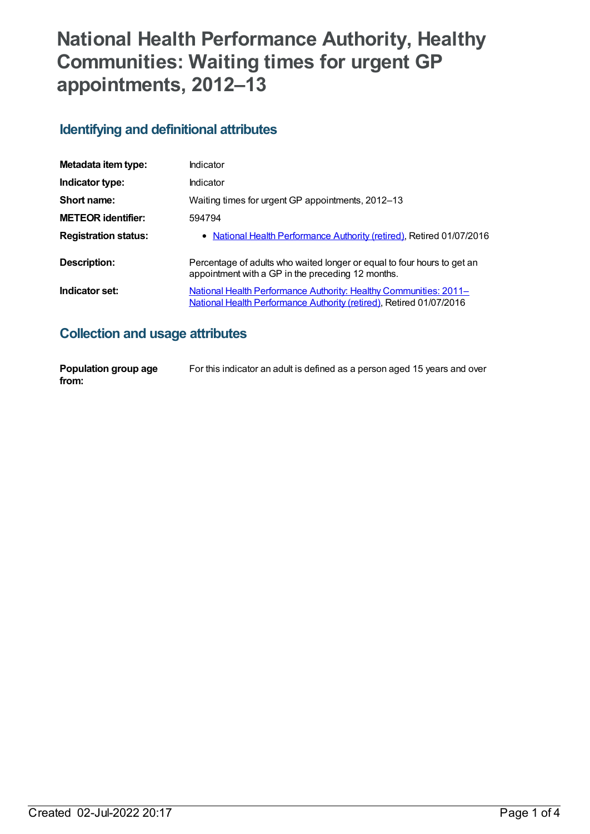# **National Health Performance Authority, Healthy Communities: Waiting times for urgent GP appointments, 2012–13**

#### **Identifying and definitional attributes**

| Metadata item type:         | Indicator                                                                                                                                       |
|-----------------------------|-------------------------------------------------------------------------------------------------------------------------------------------------|
| Indicator type:             | Indicator                                                                                                                                       |
| Short name:                 | Waiting times for urgent GP appointments, 2012–13                                                                                               |
| <b>METEOR identifier:</b>   | 594794                                                                                                                                          |
| <b>Registration status:</b> | • National Health Performance Authority (retired), Retired 01/07/2016                                                                           |
| Description:                | Percentage of adults who waited longer or equal to four hours to get an<br>appointment with a GP in the preceding 12 months.                    |
| Indicator set:              | <u>National Health Performance Authority: Healthy Communities: 2011–</u><br>National Health Performance Authority (retired), Retired 01/07/2016 |

#### **Collection and usage attributes**

| Population group age | For this indicator an adult is defined as a person aged 15 years and over |
|----------------------|---------------------------------------------------------------------------|
| from:                |                                                                           |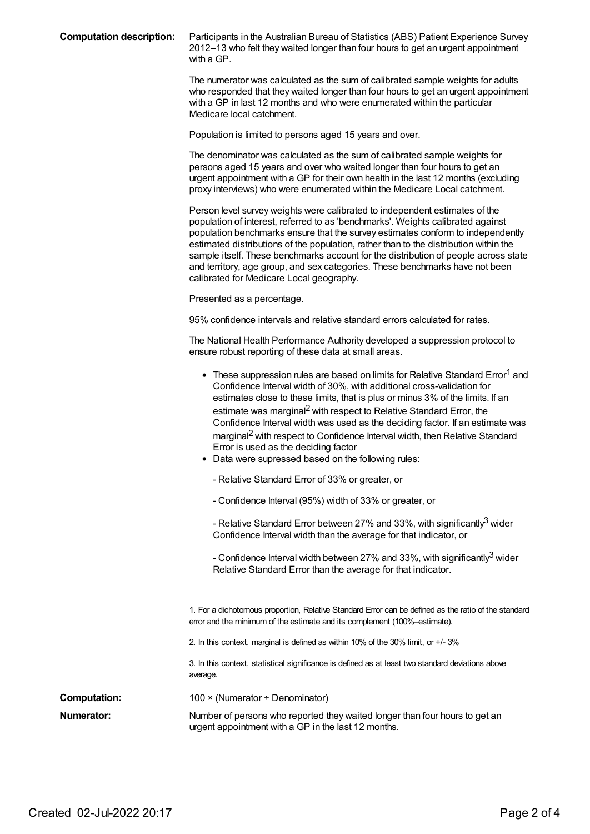**Computation description:** Participants in the Australian Bureau of Statistics (ABS) Patient Experience Survey 2012–13 who felt they waited longer than four hours to get an urgent appointment with a GP.

> The numerator was calculated as the sum of calibrated sample weights for adults who responded that they waited longer than four hours to get an urgent appointment with a GP in last 12 months and who were enumerated within the particular Medicare local catchment.

Population is limited to persons aged 15 years and over.

The denominator was calculated as the sum of calibrated sample weights for persons aged 15 years and over who waited longer than four hours to get an urgent appointment with a GP for their own health in the last 12 months (excluding proxy interviews) who were enumerated within the Medicare Local catchment.

Person level survey weights were calibrated to independent estimates of the population of interest, referred to as 'benchmarks'. Weights calibrated against population benchmarks ensure that the survey estimates conform to independently estimated distributions of the population, rather than to the distribution within the sample itself. These benchmarks account for the distribution of people across state and territory, age group, and sex categories. These benchmarks have not been calibrated for Medicare Local geography.

Presented as a percentage.

95% confidence intervals and relative standard errors calculated for rates.

The National Health Performance Authority developed a suppression protocol to ensure robust reporting of these data at small areas.

|                     | • These suppression rules are based on limits for Relative Standard Error <sup>1</sup> and<br>Confidence Interval width of 30%, with additional cross-validation for<br>estimates close to these limits, that is plus or minus 3% of the limits. If an<br>estimate was marginal <sup>2</sup> with respect to Relative Standard Error, the<br>Confidence Interval width was used as the deciding factor. If an estimate was<br>marginal <sup>2</sup> with respect to Confidence Interval width, then Relative Standard<br>Error is used as the deciding factor<br>• Data were supressed based on the following rules:<br>- Relative Standard Error of 33% or greater, or<br>- Confidence Interval (95%) width of 33% or greater, or<br>- Relative Standard Error between 27% and 33%, with significantly <sup>3</sup> wider<br>Confidence Interval width than the average for that indicator, or<br>- Confidence Interval width between 27% and 33%, with significantly <sup>3</sup> wider<br>Relative Standard Error than the average for that indicator. |
|---------------------|-----------------------------------------------------------------------------------------------------------------------------------------------------------------------------------------------------------------------------------------------------------------------------------------------------------------------------------------------------------------------------------------------------------------------------------------------------------------------------------------------------------------------------------------------------------------------------------------------------------------------------------------------------------------------------------------------------------------------------------------------------------------------------------------------------------------------------------------------------------------------------------------------------------------------------------------------------------------------------------------------------------------------------------------------------------|
|                     | 1. For a dichotomous proportion, Relative Standard Error can be defined as the ratio of the standard<br>error and the minimum of the estimate and its complement (100%-estimate).<br>2. In this context, marginal is defined as within 10% of the 30% limit, or +/-3%<br>3. In this context, statistical significance is defined as at least two standard deviations above<br>average.                                                                                                                                                                                                                                                                                                                                                                                                                                                                                                                                                                                                                                                                    |
| <b>Computation:</b> | 100 × (Numerator ÷ Denominator)                                                                                                                                                                                                                                                                                                                                                                                                                                                                                                                                                                                                                                                                                                                                                                                                                                                                                                                                                                                                                           |
| Numerator:          | Number of persons who reported they waited longer than four hours to get an<br>urgent appointment with a GP in the last 12 months.                                                                                                                                                                                                                                                                                                                                                                                                                                                                                                                                                                                                                                                                                                                                                                                                                                                                                                                        |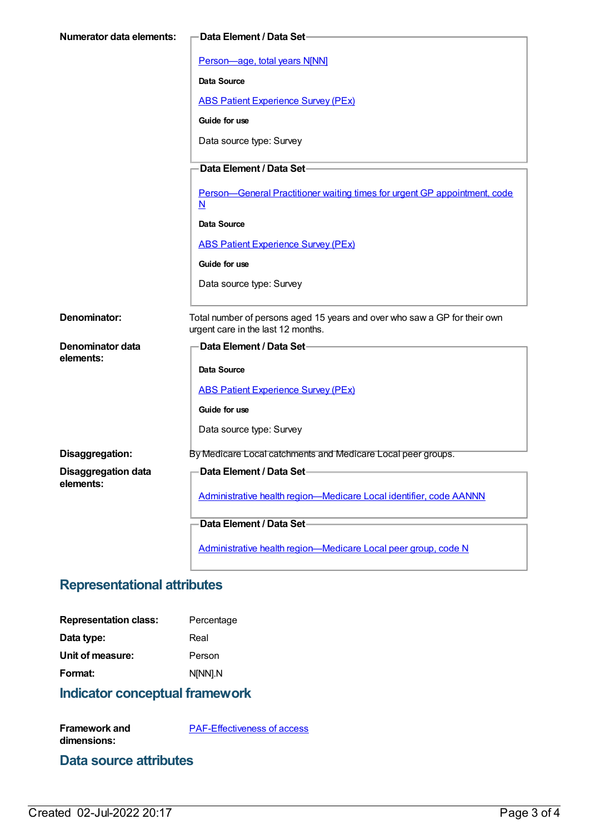| <b>Numerator data elements:</b>         | Data Element / Data Set-                                                                                        |
|-----------------------------------------|-----------------------------------------------------------------------------------------------------------------|
|                                         | Person-age, total years N[NN]                                                                                   |
|                                         | <b>Data Source</b>                                                                                              |
|                                         | <b>ABS Patient Experience Survey (PEx)</b>                                                                      |
|                                         |                                                                                                                 |
|                                         | Guide for use                                                                                                   |
|                                         | Data source type: Survey                                                                                        |
|                                         | Data Element / Data Set-                                                                                        |
|                                         | Person-General Practitioner waiting times for urgent GP appointment, code<br>$\overline{\mathsf{N}}$            |
|                                         | Data Source                                                                                                     |
|                                         | <b>ABS Patient Experience Survey (PEx)</b>                                                                      |
|                                         | Guide for use                                                                                                   |
|                                         | Data source type: Survey                                                                                        |
| Denominator:                            | Total number of persons aged 15 years and over who saw a GP for their own<br>urgent care in the last 12 months. |
| Denominator data                        | Data Element / Data Set-                                                                                        |
| elements:                               | <b>Data Source</b>                                                                                              |
|                                         | <b>ABS Patient Experience Survey (PEx)</b>                                                                      |
|                                         | Guide for use                                                                                                   |
|                                         | Data source type: Survey                                                                                        |
|                                         |                                                                                                                 |
| Disaggregation:                         | By Medicare Local catchments and Medicare Local peer groups.                                                    |
| <b>Disaggregation data</b><br>elements: | -Data Element / Data Set                                                                                        |
|                                         | Administrative health region-Medicare Local identifier, code AANNN                                              |
|                                         | Data Element / Data Set-                                                                                        |
|                                         |                                                                                                                 |
|                                         | Administrative health region-Medicare Local peer group, code N                                                  |

#### **Representational attributes**

| Percentage |
|------------|
| Real       |
| Person     |
| N[NN].N    |
|            |

### **Indicator conceptual framework**

**Framework and dimensions:** [PAF-Effectiveness](https://meteor.aihw.gov.au/content/554928) of access

#### **Data source attributes**